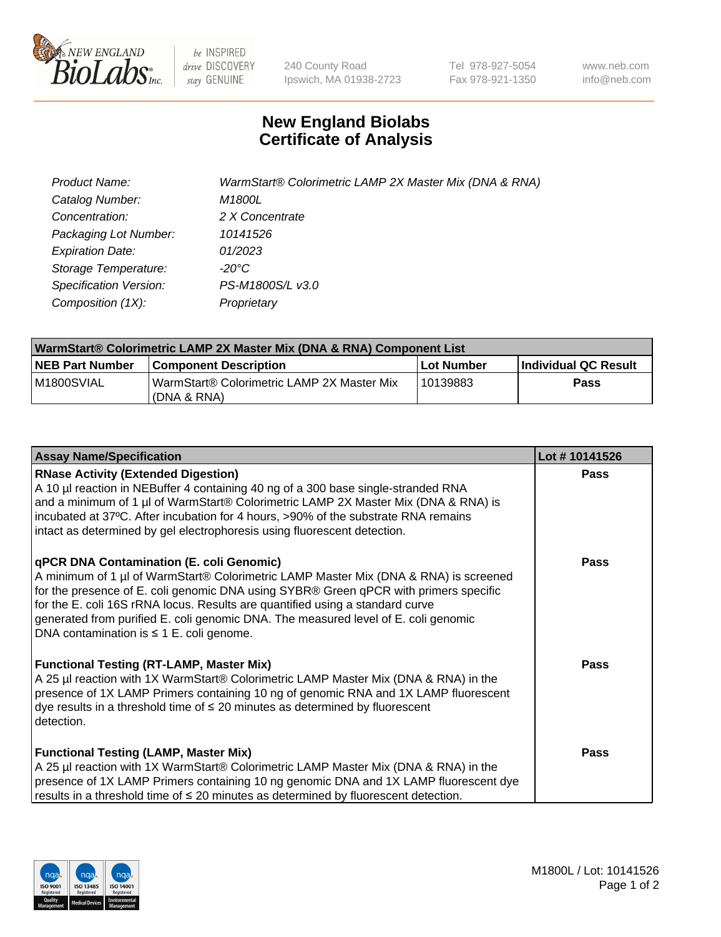

 $be$  INSPIRED drive DISCOVERY stay GENUINE

240 County Road Ipswich, MA 01938-2723 Tel 978-927-5054 Fax 978-921-1350 www.neb.com info@neb.com

## **New England Biolabs Certificate of Analysis**

| <b>Product Name:</b>    | WarmStart® Colorimetric LAMP 2X Master Mix (DNA & RNA) |
|-------------------------|--------------------------------------------------------|
| Catalog Number:         | M1800L                                                 |
| Concentration:          | 2 X Concentrate                                        |
| Packaging Lot Number:   | 10141526                                               |
| <b>Expiration Date:</b> | 01/2023                                                |
| Storage Temperature:    | $-20^{\circ}$ C                                        |
| Specification Version:  | PS-M1800S/L v3.0                                       |
| Composition (1X):       | Proprietary                                            |

| WarmStart® Colorimetric LAMP 2X Master Mix (DNA & RNA) Component List |                                                             |            |                      |  |
|-----------------------------------------------------------------------|-------------------------------------------------------------|------------|----------------------|--|
| <b>NEB Part Number</b>                                                | <b>Component Description</b>                                | Lot Number | Individual QC Result |  |
| IM1800SVIAL                                                           | WarmStart® Colorimetric LAMP 2X Master Mix<br>l (DNA & RNA) | 10139883   | Pass                 |  |

| <b>Assay Name/Specification</b>                                                                                                                                                                                                                                                                                                                                                                                                                  | Lot #10141526 |
|--------------------------------------------------------------------------------------------------------------------------------------------------------------------------------------------------------------------------------------------------------------------------------------------------------------------------------------------------------------------------------------------------------------------------------------------------|---------------|
| <b>RNase Activity (Extended Digestion)</b><br>A 10 µl reaction in NEBuffer 4 containing 40 ng of a 300 base single-stranded RNA<br>and a minimum of 1 µl of WarmStart® Colorimetric LAMP 2X Master Mix (DNA & RNA) is<br>incubated at 37°C. After incubation for 4 hours, >90% of the substrate RNA remains<br>intact as determined by gel electrophoresis using fluorescent detection.                                                          | <b>Pass</b>   |
| qPCR DNA Contamination (E. coli Genomic)<br>A minimum of 1 µl of WarmStart® Colorimetric LAMP Master Mix (DNA & RNA) is screened<br>for the presence of E. coli genomic DNA using SYBR® Green qPCR with primers specific<br>for the E. coli 16S rRNA locus. Results are quantified using a standard curve<br>generated from purified E. coli genomic DNA. The measured level of E. coli genomic<br>DNA contamination is $\leq$ 1 E. coli genome. | <b>Pass</b>   |
| <b>Functional Testing (RT-LAMP, Master Mix)</b><br>A 25 µl reaction with 1X WarmStart® Colorimetric LAMP Master Mix (DNA & RNA) in the<br>presence of 1X LAMP Primers containing 10 ng of genomic RNA and 1X LAMP fluorescent<br>dye results in a threshold time of $\leq$ 20 minutes as determined by fluorescent<br>detection.                                                                                                                 | <b>Pass</b>   |
| <b>Functional Testing (LAMP, Master Mix)</b><br>A 25 µl reaction with 1X WarmStart® Colorimetric LAMP Master Mix (DNA & RNA) in the<br>presence of 1X LAMP Primers containing 10 ng genomic DNA and 1X LAMP fluorescent dye<br>results in a threshold time of $\leq$ 20 minutes as determined by fluorescent detection.                                                                                                                          | <b>Pass</b>   |